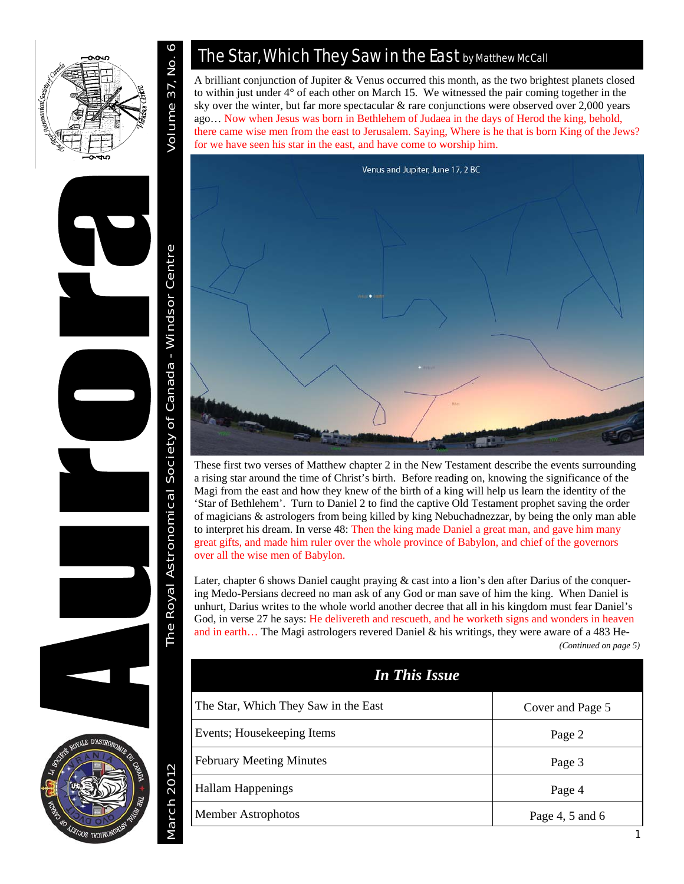



**March 2012** 

## The Star, Which They Saw in the East by Matthew McCall

A brilliant conjunction of Jupiter & Venus occurred this month, as the two brightest planets closed to within just under 4° of each other on March 15. We witnessed the pair coming together in the sky over the winter, but far more spectacular & rare conjunctions were observed over 2,000 years ago… Now when Jesus was born in Bethlehem of Judaea in the days of Herod the king, behold, there came wise men from the east to Jerusalem. Saying, Where is he that is born King of the Jews? for we have seen his star in the east, and have come to worship him.



These first two verses of Matthew chapter 2 in the New Testament describe the events surrounding a rising star around the time of Christ's birth. Before reading on, knowing the significance of the Magi from the east and how they knew of the birth of a king will help us learn the identity of the 'Star of Bethlehem'. Turn to Daniel 2 to find the captive Old Testament prophet saving the order of magicians & astrologers from being killed by king Nebuchadnezzar, by being the only man able to interpret his dream. In verse 48: Then the king made Daniel a great man, and gave him many great gifts, and made him ruler over the whole province of Babylon, and chief of the governors over all the wise men of Babylon.

Later, chapter 6 shows Daniel caught praying & cast into a lion's den after Darius of the conquering Medo-Persians decreed no man ask of any God or man save of him the king. When Daniel is unhurt, Darius writes to the whole world another decree that all in his kingdom must fear Daniel's God, in verse 27 he says: He delivereth and rescueth, and he worketh signs and wonders in heaven and in earth… The Magi astrologers revered Daniel & his writings, they were aware of a 483 He- *(Continued on page 5)* 

| <b>In This Issue</b>                 |                   |
|--------------------------------------|-------------------|
| The Star, Which They Saw in the East | Cover and Page 5  |
| Events; Housekeeping Items           | Page 2            |
| <b>February Meeting Minutes</b>      | Page 3            |
| Hallam Happenings                    | Page 4            |
| Member Astrophotos                   | Page 4, 5 and $6$ |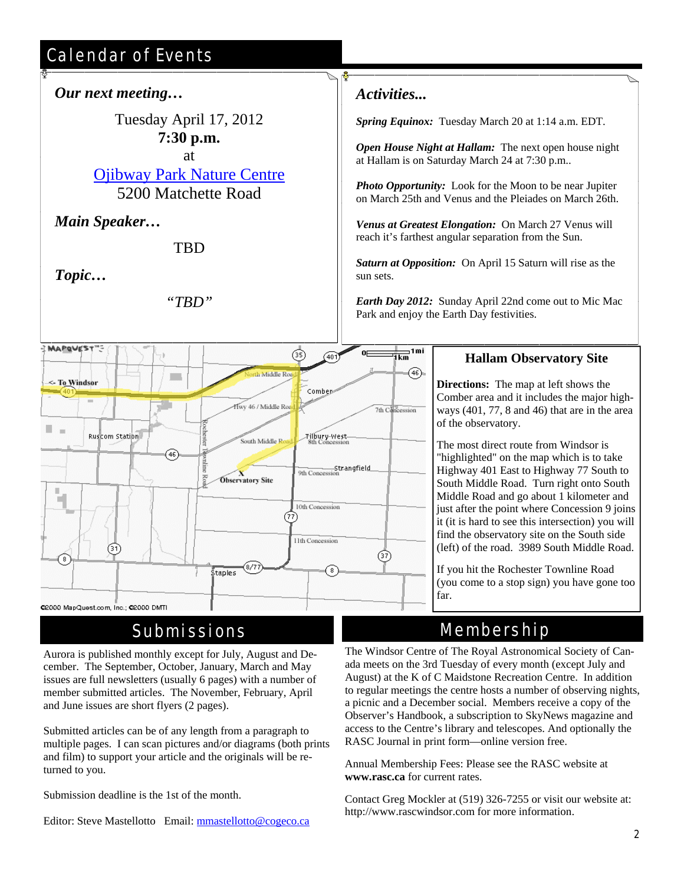# Calendar of Events



### Submissions

Aurora is published monthly except for July, August and December. The September, October, January, March and May issues are full newsletters (usually 6 pages) with a number of member submitted articles. The November, February, April and June issues are short flyers (2 pages).

Submitted articles can be of any length from a paragraph to multiple pages. I can scan pictures and/or diagrams (both prints and film) to support your article and the originals will be returned to you.

Submission deadline is the 1st of the month.

Editor: Steve Mastellotto Email: mmastellotto@cogeco.ca

Comber area and it includes the major highways (401, 77, 8 and 46) that are in the area

Highway 401 East to Highway 77 South to South Middle Road. Turn right onto South Middle Road and go about 1 kilometer and just after the point where Concession 9 joins it (it is hard to see this intersection) you will (left) of the road. 3989 South Middle Road.

(you come to a stop sign) you have gone too

# Membership

The Windsor Centre of The Royal Astronomical Society of Canada meets on the 3rd Tuesday of every month (except July and August) at the K of C Maidstone Recreation Centre. In addition to regular meetings the centre hosts a number of observing nights, a picnic and a December social. Members receive a copy of the Observer's Handbook, a subscription to SkyNews magazine and access to the Centre's library and telescopes. And optionally the RASC Journal in print form—online version free.

Annual Membership Fees: Please see the RASC website at **www.rasc.ca** for current rates.

Contact Greg Mockler at (519) 326-7255 or visit our website at: http://www.rascwindsor.com for more information.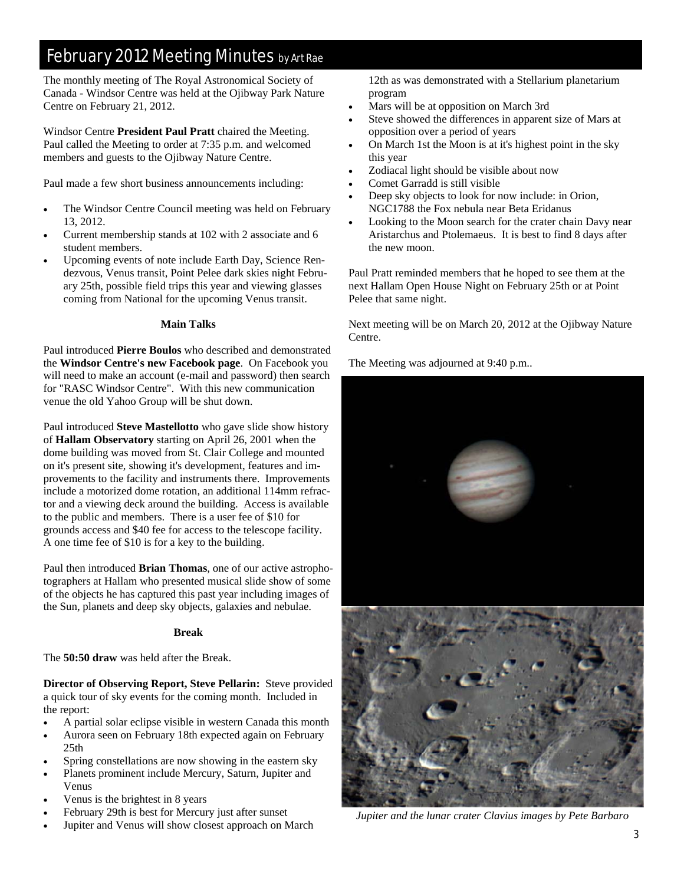## February 2012 Meeting Minutes by Art Rae

The monthly meeting of The Royal Astronomical Society of Canada - Windsor Centre was held at the Ojibway Park Nature Centre on February 21, 2012.

Windsor Centre **President Paul Pratt** chaired the Meeting. Paul called the Meeting to order at 7:35 p.m. and welcomed members and guests to the Ojibway Nature Centre.

Paul made a few short business announcements including:

- The Windsor Centre Council meeting was held on February 13, 2012.
- Current membership stands at 102 with 2 associate and 6 student members.
- Upcoming events of note include Earth Day, Science Rendezvous, Venus transit, Point Pelee dark skies night February 25th, possible field trips this year and viewing glasses coming from National for the upcoming Venus transit.

#### **Main Talks**

Paul introduced **Pierre Boulos** who described and demonstrated the **Windsor Centre's new Facebook page**. On Facebook you will need to make an account (e-mail and password) then search for "RASC Windsor Centre". With this new communication venue the old Yahoo Group will be shut down.

Paul introduced **Steve Mastellotto** who gave slide show history of **Hallam Observatory** starting on April 26, 2001 when the dome building was moved from St. Clair College and mounted on it's present site, showing it's development, features and improvements to the facility and instruments there. Improvements include a motorized dome rotation, an additional 114mm refractor and a viewing deck around the building. Access is available to the public and members. There is a user fee of \$10 for grounds access and \$40 fee for access to the telescope facility. A one time fee of \$10 is for a key to the building.

Paul then introduced **Brian Thomas**, one of our active astrophotographers at Hallam who presented musical slide show of some of the objects he has captured this past year including images of the Sun, planets and deep sky objects, galaxies and nebulae.

#### **Break**

The **50:50 draw** was held after the Break.

**Director of Observing Report, Steve Pellarin:** Steve provided a quick tour of sky events for the coming month. Included in the report:

- A partial solar eclipse visible in western Canada this month
- Aurora seen on February 18th expected again on February  $25<sub>th</sub>$
- Spring constellations are now showing in the eastern sky
- Planets prominent include Mercury, Saturn, Jupiter and Venus
- Venus is the brightest in 8 years
- February 29th is best for Mercury just after sunset
- Jupiter and Venus will show closest approach on March

12th as was demonstrated with a Stellarium planetarium program

- Mars will be at opposition on March 3rd
- Steve showed the differences in apparent size of Mars at opposition over a period of years
- On March 1st the Moon is at it's highest point in the sky this year
- Zodiacal light should be visible about now
- Comet Garradd is still visible
- Deep sky objects to look for now include: in Orion, NGC1788 the Fox nebula near Beta Eridanus
- Looking to the Moon search for the crater chain Davy near Aristarchus and Ptolemaeus. It is best to find 8 days after the new moon.

Paul Pratt reminded members that he hoped to see them at the next Hallam Open House Night on February 25th or at Point Pelee that same night.

Next meeting will be on March 20, 2012 at the Ojibway Nature Centre.

The Meeting was adjourned at 9:40 p.m..



*Jupiter and the lunar crater Clavius images by Pete Barbaro*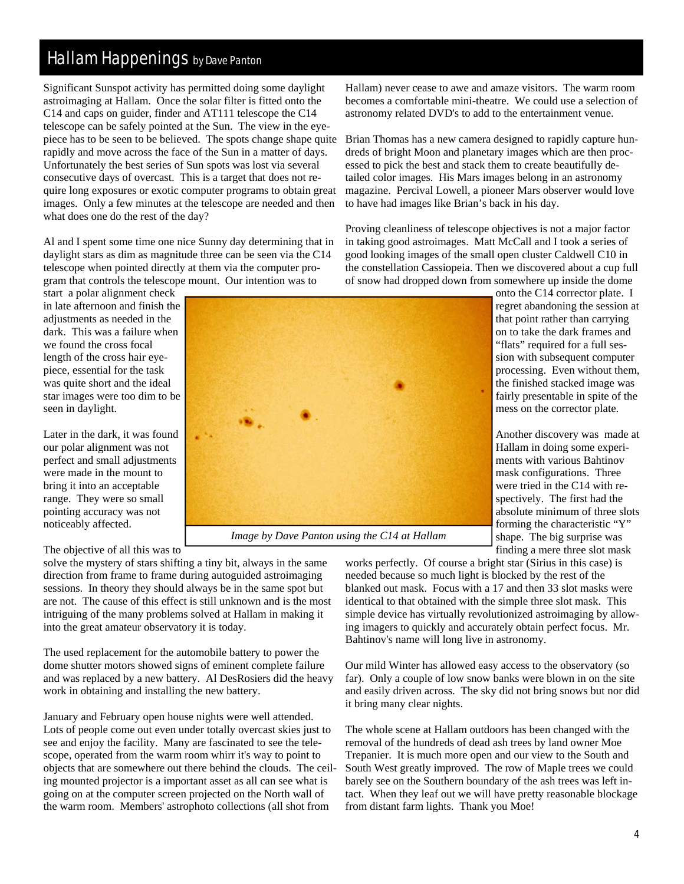### Hallam Happenings by Dave Panton

Significant Sunspot activity has permitted doing some daylight astroimaging at Hallam. Once the solar filter is fitted onto the C14 and caps on guider, finder and AT111 telescope the C14 telescope can be safely pointed at the Sun. The view in the eyepiece has to be seen to be believed. The spots change shape quite rapidly and move across the face of the Sun in a matter of days. Unfortunately the best series of Sun spots was lost via several consecutive days of overcast. This is a target that does not require long exposures or exotic computer programs to obtain great images. Only a few minutes at the telescope are needed and then what does one do the rest of the day?

Al and I spent some time one nice Sunny day determining that in daylight stars as dim as magnitude three can be seen via the C14 telescope when pointed directly at them via the computer program that controls the telescope mount. Our intention was to

start a polar alignment check in late afternoon and finish the adjustments as needed in the dark. This was a failure when we found the cross focal length of the cross hair eyepiece, essential for the task was quite short and the ideal star images were too dim to be seen in daylight.

Later in the dark, it was found our polar alignment was not perfect and small adjustments were made in the mount to bring it into an acceptable range. They were so small pointing accuracy was not noticeably affected.

The objective of all this was to

solve the mystery of stars shifting a tiny bit, always in the same direction from frame to frame during autoguided astroimaging sessions. In theory they should always be in the same spot but are not. The cause of this effect is still unknown and is the most intriguing of the many problems solved at Hallam in making it into the great amateur observatory it is today.

The used replacement for the automobile battery to power the dome shutter motors showed signs of eminent complete failure and was replaced by a new battery. Al DesRosiers did the heavy work in obtaining and installing the new battery.

January and February open house nights were well attended. Lots of people come out even under totally overcast skies just to see and enjoy the facility. Many are fascinated to see the telescope, operated from the warm room whirr it's way to point to objects that are somewhere out there behind the clouds. The ceiling mounted projector is a important asset as all can see what is going on at the computer screen projected on the North wall of the warm room. Members' astrophoto collections (all shot from

Hallam) never cease to awe and amaze visitors. The warm room becomes a comfortable mini-theatre. We could use a selection of astronomy related DVD's to add to the entertainment venue.

Brian Thomas has a new camera designed to rapidly capture hundreds of bright Moon and planetary images which are then processed to pick the best and stack them to create beautifully detailed color images. His Mars images belong in an astronomy magazine. Percival Lowell, a pioneer Mars observer would love to have had images like Brian's back in his day.

Proving cleanliness of telescope objectives is not a major factor in taking good astroimages. Matt McCall and I took a series of good looking images of the small open cluster Caldwell C10 in the constellation Cassiopeia. Then we discovered about a cup full of snow had dropped down from somewhere up inside the dome

> onto the C14 corrector plate. I regret abandoning the session at that point rather than carrying on to take the dark frames and "flats" required for a full session with subsequent computer processing. Even without them, the finished stacked image was fairly presentable in spite of the mess on the corrector plate.

> Another discovery was made at Hallam in doing some experiments with various Bahtinov mask configurations. Three were tried in the C14 with respectively. The first had the absolute minimum of three slots forming the characteristic "Y" shape. The big surprise was finding a mere three slot mask

works perfectly. Of course a bright star (Sirius in this case) is needed because so much light is blocked by the rest of the blanked out mask. Focus with a 17 and then 33 slot masks were identical to that obtained with the simple three slot mask. This simple device has virtually revolutionized astroimaging by allowing imagers to quickly and accurately obtain perfect focus. Mr. Bahtinov's name will long live in astronomy.

Our mild Winter has allowed easy access to the observatory (so far). Only a couple of low snow banks were blown in on the site and easily driven across. The sky did not bring snows but nor did it bring many clear nights.

The whole scene at Hallam outdoors has been changed with the removal of the hundreds of dead ash trees by land owner Moe Trepanier. It is much more open and our view to the South and South West greatly improved. The row of Maple trees we could barely see on the Southern boundary of the ash trees was left intact. When they leaf out we will have pretty reasonable blockage from distant farm lights. Thank you Moe!



*Image by Dave Panton using the C14 at Hallam*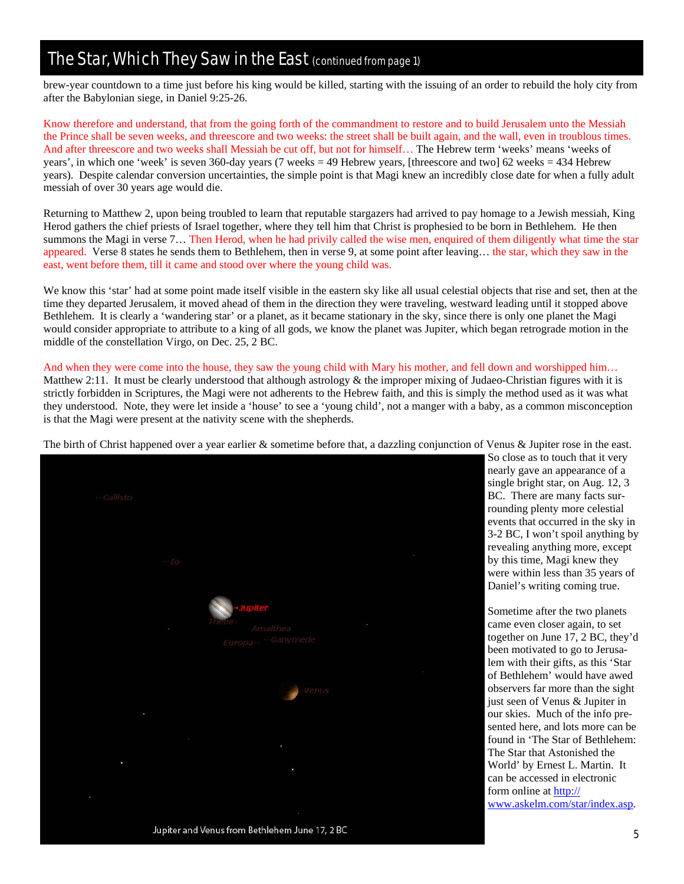### The Star, Which They Saw in the East (continued from page 1)

brew-year countdown to a time just before his king would be killed, starting with the issuing of an order to rebuild the holy city from after the Babylonian siege, in Daniel 9:25-26.

Know therefore and understand, that from the going forth of the commandment to restore and to build Jerusalem unto the Messiah the Prince shall be seven weeks, and threescore and two weeks: the street shall be built again, and the wall, even in troublous times. And after threescore and two weeks shall Messiah be cut off, but not for himself… The Hebrew term 'weeks' means 'weeks of years', in which one 'week' is seven 360-day years (7 weeks = 49 Hebrew years, [threescore and two] 62 weeks = 434 Hebrew years). Despite calendar conversion uncertainties, the simple point is that Magi knew an incredibly close date for when a fully adult messiah of over 30 years age would die.

Returning to Matthew 2, upon being troubled to learn that reputable stargazers had arrived to pay homage to a Jewish messiah, King Herod gathers the chief priests of Israel together, where they tell him that Christ is prophesied to be born in Bethlehem. He then summons the Magi in verse 7… Then Herod, when he had privily called the wise men, enquired of them diligently what time the star appeared. Verse 8 states he sends them to Bethlehem, then in verse 9, at some point after leaving... the star, which they saw in the east, went before them, till it came and stood over where the young child was.

We know this 'star' had at some point made itself visible in the eastern sky like all usual celestial objects that rise and set, then at the time they departed Jerusalem, it moved ahead of them in the direction they were traveling, westward leading until it stopped above Bethlehem. It is clearly a 'wandering star' or a planet, as it became stationary in the sky, since there is only one planet the Magi would consider appropriate to attribute to a king of all gods, we know the planet was Jupiter, which began retrograde motion in the middle of the constellation Virgo, on Dec. 25, 2 BC.

And when they were come into the house, they saw the young child with Mary his mother, and fell down and worshipped him... Matthew 2:11. It must be clearly understood that although astrology & the improper mixing of Judaeo-Christian figures with it is strictly forbidden in Scriptures, the Magi were not adherents to the Hebrew faith, and this is simply the method used as it was what they understood. Note, they were let inside a 'house' to see a 'young child', not a manger with a baby, as a common misconception is that the Magi were present at the nativity scene with the shepherds.



The birth of Christ happened over a year earlier & sometime before that, a dazzling conjunction of Venus & Jupiter rose in the east.

Jupiter and Venus from Bethlehem June 17, 2 BC

So close as to touch that it very nearly gave an appearance of a single bright star, on Aug. 12, 3 BC. There are many facts surrounding plenty more celestial events that occurred in the sky in 3-2 BC, I won't spoil anything by revealing anything more, except by this time, Magi knew they were within less than 35 years of Daniel's writing coming true.

Sometime after the two planets came even closer again, to set together on June 17, 2 BC, they'd been motivated to go to Jerusalem with their gifts, as this 'Star of Bethlehem' would have awed observers far more than the sight just seen of Venus & Jupiter in our skies. Much of the info presented here, and lots more can be found in 'The Star of Bethlehem: The Star that Astonished the World' by Ernest L. Martin. It can be accessed in electronic form online at http:// www.askelm.com/star/index.asp.